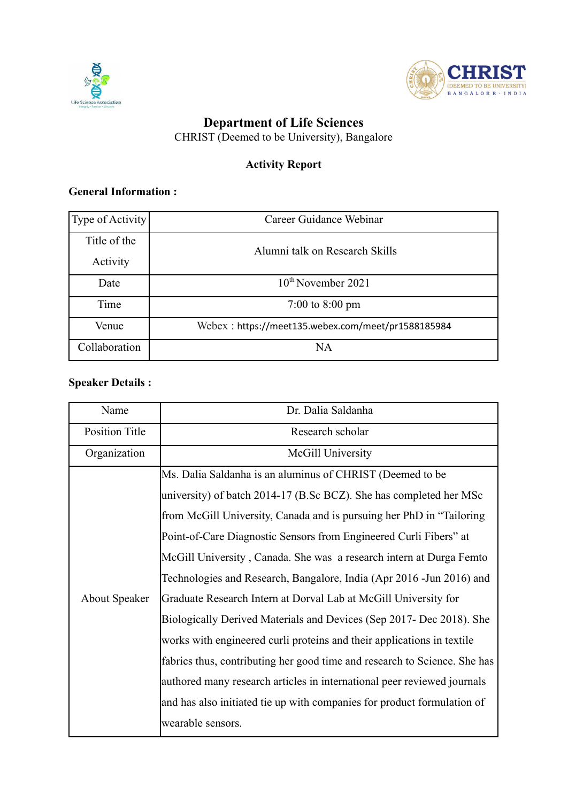



## **Department of Life Sciences**

CHRIST (Deemed to be University), Bangalore

# **Activity Report**

#### **General Information :**

| Type of Activity | Career Guidance Webinar                            |  |
|------------------|----------------------------------------------------|--|
| Title of the     | Alumni talk on Research Skills                     |  |
| Activity         |                                                    |  |
| Date             | 10 <sup>th</sup> November 2021                     |  |
| Time             | 7:00 to 8:00 pm                                    |  |
| Venue            | Webex: https://meet135.webex.com/meet/pr1588185984 |  |
| Collaboration    | <b>NA</b>                                          |  |

# **Speaker Details :**

| Name                  | Dr. Dalia Saldanha                                                        |
|-----------------------|---------------------------------------------------------------------------|
| <b>Position Title</b> | Research scholar                                                          |
| Organization          | McGill University                                                         |
|                       | Ms. Dalia Saldanha is an aluminus of CHRIST (Deemed to be                 |
|                       | university) of batch 2014-17 (B.Sc BCZ). She has completed her MSc        |
|                       | from McGill University, Canada and is pursuing her PhD in "Tailoring"     |
|                       | Point-of-Care Diagnostic Sensors from Engineered Curli Fibers" at         |
|                       | McGill University, Canada. She was a research intern at Durga Femto       |
|                       | Technologies and Research, Bangalore, India (Apr 2016 - Jun 2016) and     |
| <b>About Speaker</b>  | Graduate Research Intern at Dorval Lab at McGill University for           |
|                       | Biologically Derived Materials and Devices (Sep 2017- Dec 2018). She      |
|                       | works with engineered curli proteins and their applications in textile    |
|                       | fabrics thus, contributing her good time and research to Science. She has |
|                       | authored many research articles in international peer reviewed journals   |
|                       | and has also initiated tie up with companies for product formulation of   |
|                       | wearable sensors.                                                         |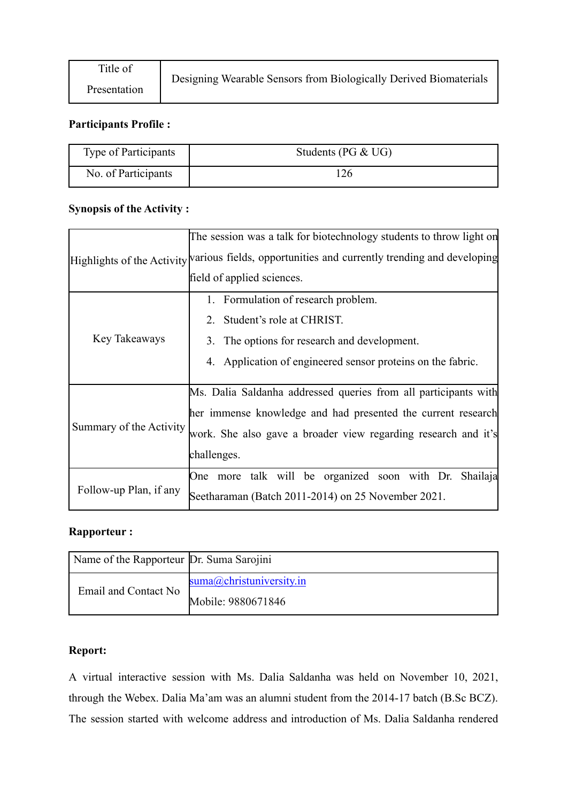### **Participants Profile :**

| Type of Participants | Students (PG $& UG$ ) |
|----------------------|-----------------------|
| No. of Participants  | 26                    |

#### **Synopsis of the Activity :**

|                         | The session was a talk for biotechnology students to throw light on<br>Highlights of the Activity various fields, opportunities and currently trending and developing<br>field of applied sciences.              |
|-------------------------|------------------------------------------------------------------------------------------------------------------------------------------------------------------------------------------------------------------|
| Key Takeaways           | 1. Formulation of research problem.<br>2. Student's role at CHRIST.<br>3. The options for research and development.<br>4. Application of engineered sensor proteins on the fabric.                               |
| Summary of the Activity | Ms. Dalia Saldanha addressed queries from all participants with<br>her immense knowledge and had presented the current research<br>work. She also gave a broader view regarding research and it's<br>challenges. |
| Follow-up Plan, if any  | talk will be organized soon with Dr. Shailaja<br>One more<br>Seetharaman (Batch 2011-2014) on 25 November 2021.                                                                                                  |

#### **Rapporteur :**

| Name of the Rapporteur Dr. Suma Sarojini |                             |
|------------------------------------------|-----------------------------|
| Email and Contact No                     | $suma$ @christuniversity.in |
|                                          | Mobile: 9880671846          |

### **Report:**

A virtual interactive session with Ms. Dalia Saldanha was held on November 10, 2021, through the Webex. Dalia Ma'am was an alumni student from the 2014-17 batch (B.Sc BCZ). The session started with welcome address and introduction of Ms. Dalia Saldanha rendered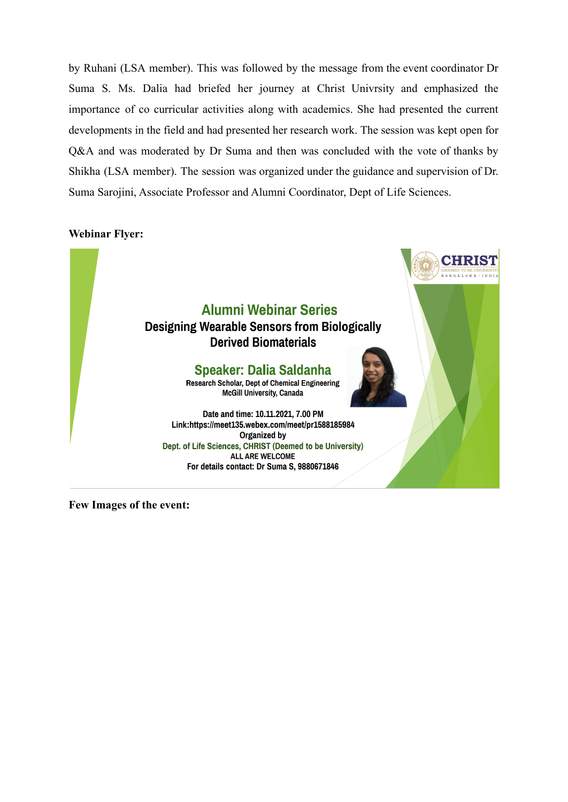by Ruhani (LSA member). This was followed by the message from the event coordinator Dr Suma S. Ms. Dalia had briefed her journey at Christ Univrsity and emphasized the importance of co curricular activities along with academics. She had presented the current developments in the field and had presented her research work. The session was kept open for Q&A and was moderated by Dr Suma and then was concluded with the vote of thanks by Shikha (LSA member). The session was organized under the guidance and supervision of Dr. Suma Sarojini, Associate Professor and Alumni Coordinator, Dept of Life Sciences.

#### **Webinar Flyer:**



**Few Images of the event:**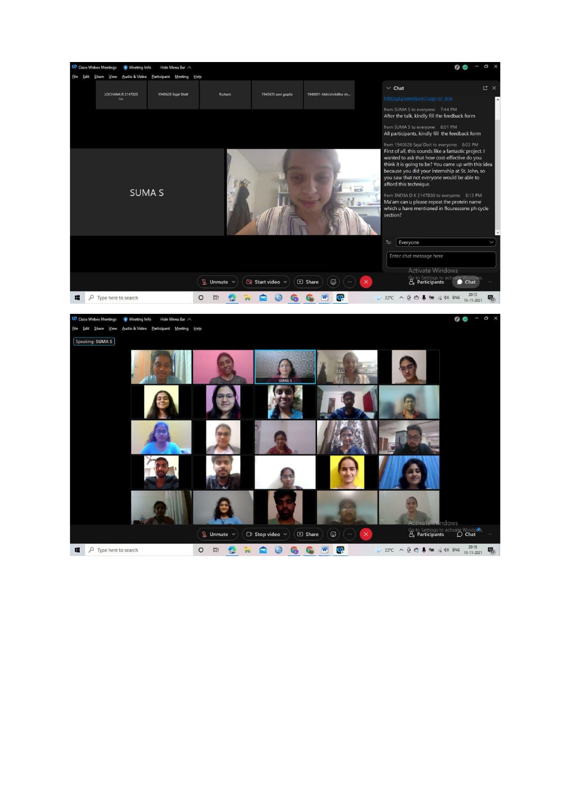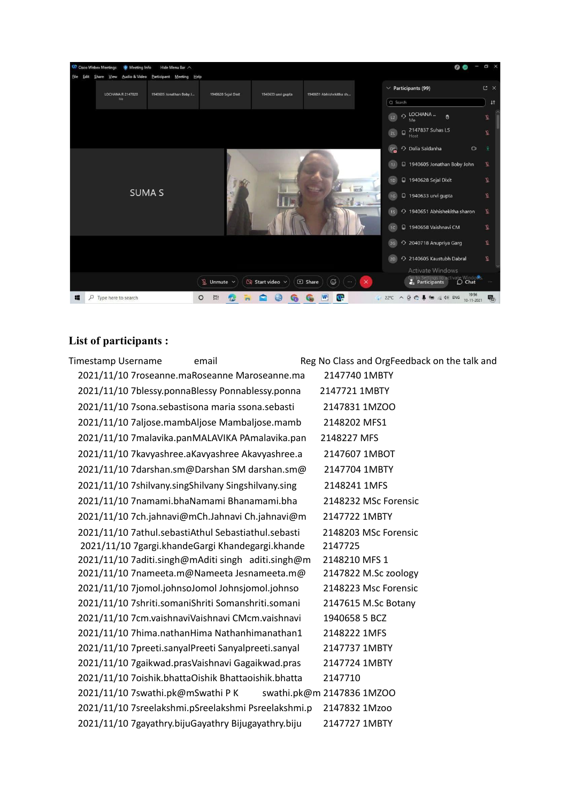

#### **List of participants :**

Timestamp Username email email Reg No Class and OrgFeedback on the talk and 2021/11/10 7roseanne.maRoseanne Maroseanne.ma 2147740 1MBTY 2021/11/10 7blessy.ponnaBlessy Ponnablessy.ponna 2147721 1MBTY 2021/11/10 7sona.sebastisona maria ssona.sebasti 2147831 1MZOO 2021/11/10 7aljose.mambAljose Mambaljose.mamb 2148202 MFS1 2021/11/10 7malavika.panMALAVIKA PAmalavika.pan 2148227 MFS 2021/11/10 7kavyashree.aKavyashree Akavyashree.a 2147607 1MBOT 2021/11/10 7darshan.sm@Darshan SM darshan.sm@ 2147704 1MBTY 2021/11/10 7shilvany.singShilvany Singshilvany.sing 2148241 1MFS 2021/11/10 7namami.bhaNamami Bhanamami.bha 2148232 MSc Forensic 2021/11/10 7ch.jahnavi@mCh.Jahnavi Ch.jahnavi@m 2147722 1MBTY 2021/11/10 7athul.sebastiAthul Sebastiathul.sebasti 2148203 MSc Forensic 2021/11/10 7gargi.khandeGargi Khandegargi.khande 2147725 2021/11/10 7aditi.singh@mAditi singh aditi.singh@m 2148210 MFS 1 2021/11/10 7nameeta.m@Nameeta Jesnameeta.m@ 2147822 M.Sc zoology 2021/11/10 7jomol.johnsoJomol Johnsjomol.johnso 2148223 Msc Forensic 2021/11/10 7shriti.somaniShriti Somanshriti.somani 2147615 M.Sc Botany 2021/11/10 7cm.vaishnaviVaishnavi CMcm.vaishnavi 1940658 5 BCZ 2021/11/10 7hima.nathanHima Nathanhimanathan1 2148222 1MFS 2021/11/10 7preeti.sanyalPreeti Sanyalpreeti.sanyal 2147737 1MBTY 2021/11/10 7gaikwad.prasVaishnavi Gagaikwad.pras 2147724 1MBTY 2021/11/10 7oishik.bhattaOishik Bhattaoishik.bhatta 2147710 2021/11/10 7swathi.pk@mSwathi P K swathi.pk@m 2147836 1MZOO 2021/11/10 7sreelakshmi.pSreelakshmi Psreelakshmi.p 2147832 1Mzoo 2021/11/10 7gayathry.bijuGayathry Bijugayathry.biju 2147727 1MBTY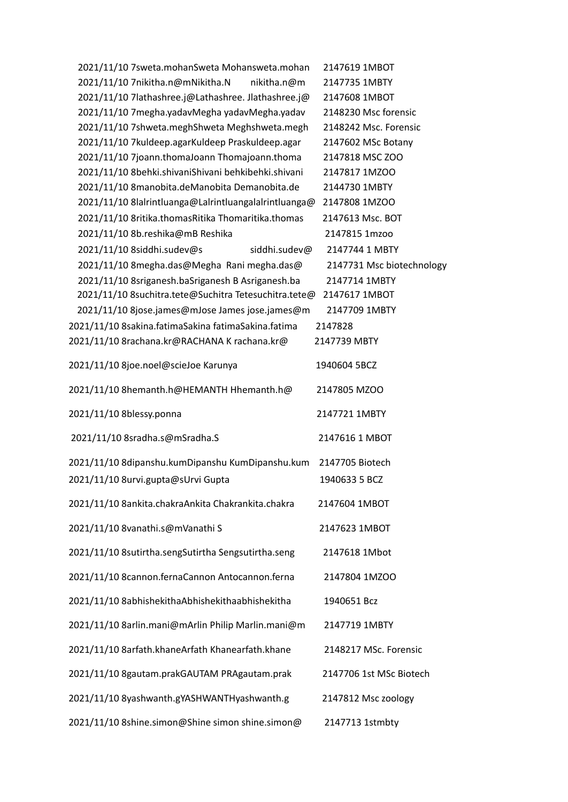| 2021/11/10 7sweta.mohanSweta Mohansweta.mohan         | 2147619 1MBOT             |
|-------------------------------------------------------|---------------------------|
| 2021/11/10 7nikitha.n@mNikitha.N<br>nikitha.n@m       | 2147735 1MBTY             |
| 2021/11/10 7lathashree.j@Lathashree. Jlathashree.j@   | 2147608 1MBOT             |
| 2021/11/10 7 megha.yadavMegha yadavMegha.yadav        | 2148230 Msc forensic      |
| 2021/11/10 7shweta.meghShweta Meghshweta.megh         | 2148242 Msc. Forensic     |
| 2021/11/10 7kuldeep.agarKuldeep Praskuldeep.agar      | 2147602 MSc Botany        |
| 2021/11/10 7joann.thomaJoann Thomajoann.thoma         | 2147818 MSC ZOO           |
| 2021/11/10 8behki.shivaniShivani behkibehki.shivani   | 2147817 1MZOO             |
| 2021/11/10 8manobita.deManobita Demanobita.de         | 2144730 1MBTY             |
| 2021/11/10 8lalrintluanga@Lalrintluangalalrintluanga@ | 2147808 1MZOO             |
| 2021/11/10 8ritika.thomasRitika Thomaritika.thomas    | 2147613 Msc. BOT          |
| 2021/11/10 8b.reshika@mB Reshika                      | 2147815 1mzoo             |
| 2021/11/10 8siddhi.sudev@s<br>siddhi.sudev@           | 2147744 1 MBTY            |
| 2021/11/10 8megha.das@Megha Rani megha.das@           | 2147731 Msc biotechnology |
| 2021/11/10 8sriganesh.baSriganesh B Asriganesh.ba     | 2147714 1MBTY             |
| 2021/11/10 8suchitra.tete@Suchitra Tetesuchitra.tete@ | 2147617 1MBOT             |
| 2021/11/10 8jose.james@mJose James jose.james@m       | 2147709 1MBTY             |
| 2021/11/10 8sakina.fatimaSakina fatimaSakina.fatima   | 2147828                   |
| 2021/11/10 8rachana.kr@RACHANA K rachana.kr@          | 2147739 MBTY              |
| 2021/11/10 8joe.noel@scieJoe Karunya                  | 1940604 5BCZ              |
| 2021/11/10 8hemanth.h@HEMANTH Hhemanth.h@             | 2147805 MZOO              |
| 2021/11/10 8blessy.ponna                              | 2147721 1MBTY             |
| 2021/11/10 8sradha.s@mSradha.S                        | 2147616 1 MBOT            |
| 2021/11/10 8dipanshu.kumDipanshu KumDipanshu.kum      | 2147705 Biotech           |
| 2021/11/10 8urvi.gupta@sUrvi Gupta                    | 1940633 5 BCZ             |
| 2021/11/10 8ankita.chakraAnkita Chakrankita.chakra    | 2147604 1MBOT             |
| 2021/11/10 8vanathi.s@mVanathi S                      | 2147623 1MBOT             |
| 2021/11/10 8sutirtha.sengSutirtha Sengsutirtha.seng   | 2147618 1Mbot             |
| 2021/11/10 8cannon.fernaCannon Antocannon.ferna       | 2147804 1MZOO             |
| 2021/11/10 8abhishekithaAbhishekithaabhishekitha      | 1940651 Bcz               |
| 2021/11/10 8arlin.mani@mArlin Philip Marlin.mani@m    | 2147719 1MBTY             |
| 2021/11/10 8arfath.khaneArfath Khanearfath.khane      | 2148217 MSc. Forensic     |
| 2021/11/10 8gautam.prakGAUTAM PRAgautam.prak          | 2147706 1st MSc Biotech   |
| 2021/11/10 8yashwanth.gYASHWANTHyashwanth.g           | 2147812 Msc zoology       |
| 2021/11/10 8shine.simon@Shine simon shine.simon@      | 2147713 1stmbty           |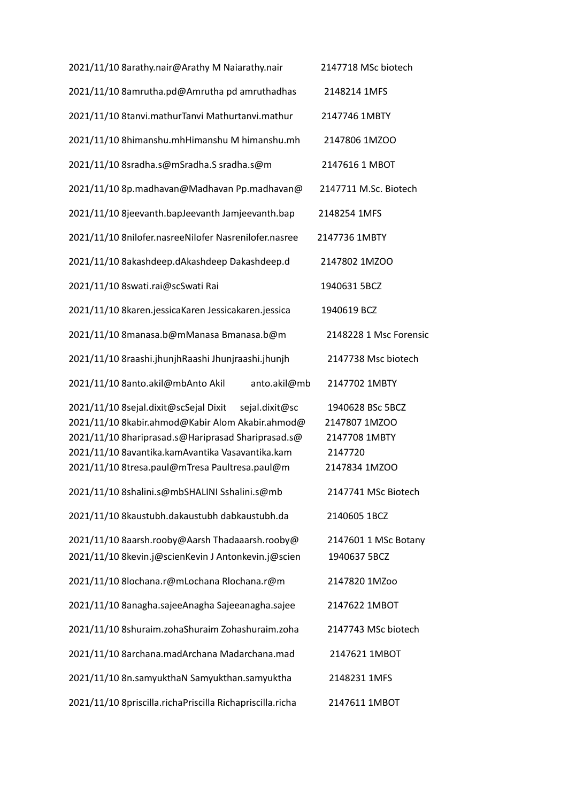| 2021/11/10 8arathy.nair@Arathy M Naiarathy.nair                                                                                                                                                                                                                         | 2147718 MSc biotech                                                            |
|-------------------------------------------------------------------------------------------------------------------------------------------------------------------------------------------------------------------------------------------------------------------------|--------------------------------------------------------------------------------|
| 2021/11/10 8amrutha.pd@Amrutha pd amruthadhas                                                                                                                                                                                                                           | 2148214 1MFS                                                                   |
| 2021/11/10 8tanvi.mathurTanvi Mathurtanvi.mathur                                                                                                                                                                                                                        | 2147746 1MBTY                                                                  |
| 2021/11/10 8himanshu.mhHimanshu M himanshu.mh                                                                                                                                                                                                                           | 2147806 1MZOO                                                                  |
| 2021/11/10 8sradha.s@mSradha.S sradha.s@m                                                                                                                                                                                                                               | 2147616 1 MBOT                                                                 |
| 2021/11/10 8p.madhavan@Madhavan Pp.madhavan@                                                                                                                                                                                                                            | 2147711 M.Sc. Biotech                                                          |
| 2021/11/10 8jeevanth.bapJeevanth Jamjeevanth.bap                                                                                                                                                                                                                        | 2148254 1MFS                                                                   |
| 2021/11/10 8nilofer.nasreeNilofer Nasrenilofer.nasree                                                                                                                                                                                                                   | 2147736 1MBTY                                                                  |
| 2021/11/10 8akashdeep.dAkashdeep Dakashdeep.d                                                                                                                                                                                                                           | 2147802 1MZOO                                                                  |
| 2021/11/10 8swati.rai@scSwati Rai                                                                                                                                                                                                                                       | 1940631 5BCZ                                                                   |
| 2021/11/10 8karen.jessicaKaren Jessicakaren.jessica                                                                                                                                                                                                                     | 1940619 BCZ                                                                    |
| 2021/11/10 8manasa.b@mManasa Bmanasa.b@m                                                                                                                                                                                                                                | 2148228 1 Msc Forensic                                                         |
| 2021/11/10 8raashi.jhunjhRaashi Jhunjraashi.jhunjh                                                                                                                                                                                                                      | 2147738 Msc biotech                                                            |
| 2021/11/10 8anto.akil@mbAnto Akil<br>anto.akil@mb                                                                                                                                                                                                                       | 2147702 1MBTY                                                                  |
| 2021/11/10 8sejal.dixit@scSejal Dixit<br>sejal.dixit@sc<br>2021/11/10 8kabir.ahmod@Kabir Alom Akabir.ahmod@<br>2021/11/10 8hariprasad.s@Hariprasad Shariprasad.s@<br>2021/11/10 8avantika.kamAvantika Vasavantika.kam<br>2021/11/10 8tresa.paul@mTresa Paultresa.paul@m | 1940628 BSc 5BCZ<br>2147807 1MZOO<br>2147708 1MBTY<br>2147720<br>2147834 1MZOO |
| 2021/11/10 8shalini.s@mbSHALINI Sshalini.s@mb                                                                                                                                                                                                                           | 2147741 MSc Biotech                                                            |
| 2021/11/10 8kaustubh.dakaustubh dabkaustubh.da                                                                                                                                                                                                                          | 2140605 1BCZ                                                                   |
| 2021/11/10 8aarsh.rooby@Aarsh Thadaaarsh.rooby@<br>2021/11/10 8kevin.j@scienKevin J Antonkevin.j@scien                                                                                                                                                                  | 2147601 1 MSc Botany<br>1940637 5BCZ                                           |
| 2021/11/10 8lochana.r@mLochana Rlochana.r@m                                                                                                                                                                                                                             | 2147820 1MZoo                                                                  |
| 2021/11/10 8anagha.sajeeAnagha Sajeeanagha.sajee                                                                                                                                                                                                                        | 2147622 1MBOT                                                                  |
| 2021/11/10 8shuraim.zohaShuraim Zohashuraim.zoha                                                                                                                                                                                                                        | 2147743 MSc biotech                                                            |
| 2021/11/10 8archana.madArchana Madarchana.mad                                                                                                                                                                                                                           | 2147621 1MBOT                                                                  |
| 2021/11/10 8n.samyukthaN Samyukthan.samyuktha                                                                                                                                                                                                                           | 2148231 1MFS                                                                   |
| 2021/11/10 8priscilla.richaPriscilla Richapriscilla.richa                                                                                                                                                                                                               | 2147611 1MBOT                                                                  |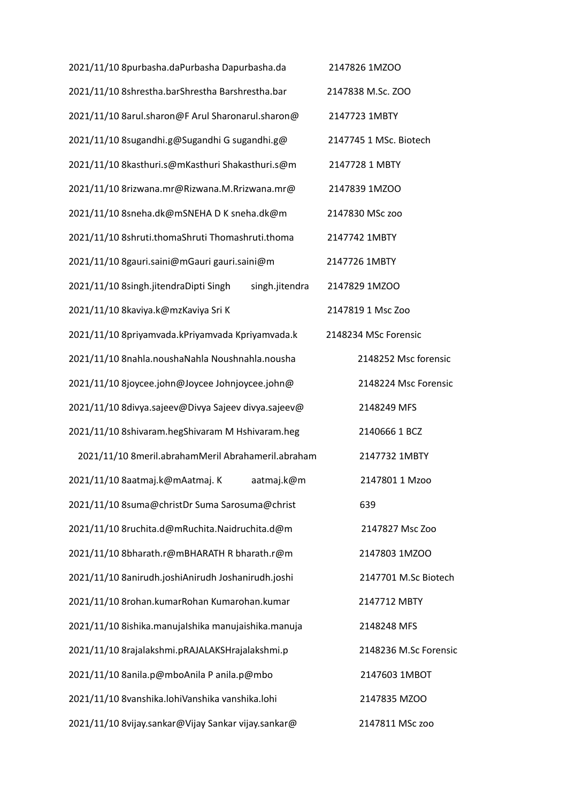| 2021/11/10 8purbasha.daPurbasha Dapurbasha.da           | 2147826 1MZOO          |
|---------------------------------------------------------|------------------------|
| 2021/11/10 8shrestha.barShrestha Barshrestha.bar        | 2147838 M.Sc. ZOO      |
| 2021/11/10 8arul.sharon@F Arul Sharonarul.sharon@       | 2147723 1MBTY          |
| 2021/11/10 8sugandhi.g@Sugandhi G sugandhi.g@           | 2147745 1 MSc. Biotech |
| 2021/11/10 8kasthuri.s@mKasthuri Shakasthuri.s@m        | 2147728 1 MBTY         |
| 2021/11/10 8rizwana.mr@Rizwana.M.Rrizwana.mr@           | 2147839 1MZOO          |
| 2021/11/10 8sneha.dk@mSNEHA D K sneha.dk@m              | 2147830 MSc zoo        |
| 2021/11/10 8shruti.thomaShruti Thomashruti.thoma        | 2147742 1MBTY          |
| 2021/11/10 8gauri.saini@mGauri gauri.saini@m            | 2147726 1MBTY          |
| 2021/11/10 8singh.jitendraDipti Singh<br>singh.jitendra | 2147829 1MZOO          |
| 2021/11/10 8kaviya.k@mzKaviya Sri K                     | 2147819 1 Msc Zoo      |
| 2021/11/10 8priyamvada.kPriyamvada Kpriyamvada.k        | 2148234 MSc Forensic   |
| 2021/11/10 8nahla.noushaNahla Noushnahla.nousha         | 2148252 Msc forensic   |
| 2021/11/10 8joycee.john@Joycee Johnjoycee.john@         | 2148224 Msc Forensic   |
| 2021/11/10 8divya.sajeev@Divya Sajeev divya.sajeev@     | 2148249 MFS            |
| 2021/11/10 8shivaram.hegShivaram M Hshivaram.heg        | 2140666 1 BCZ          |
| 2021/11/10 8meril.abrahamMeril Abrahameril.abraham      | 2147732 1MBTY          |
| 2021/11/10 8aatmaj.k@mAatmaj.K<br>aatmaj.k@m            | 2147801 1 Mzoo         |
| 2021/11/10 8suma@christDr Suma Sarosuma@christ          | 639                    |
| 2021/11/10 8ruchita.d@mRuchita.Naidruchita.d@m          | 2147827 Msc Zoo        |
| 2021/11/10 8bharath.r@mBHARATH R bharath.r@m            | 2147803 1MZOO          |
| 2021/11/10 8anirudh.joshiAnirudh Joshanirudh.joshi      | 2147701 M.Sc Biotech   |
| 2021/11/10 8rohan.kumarRohan Kumarohan.kumar            | 2147712 MBTY           |
| 2021/11/10 8ishika.manujalshika manujaishika.manuja     | 2148248 MFS            |
| 2021/11/10 8rajalakshmi.pRAJALAKSHrajalakshmi.p         | 2148236 M.Sc Forensic  |
| 2021/11/10 8anila.p@mboAnila P anila.p@mbo              | 2147603 1MBOT          |
| 2021/11/10 8vanshika.lohiVanshika vanshika.lohi         | 2147835 MZOO           |
| 2021/11/10 8vijay.sankar@Vijay Sankar vijay.sankar@     | 2147811 MSc zoo        |